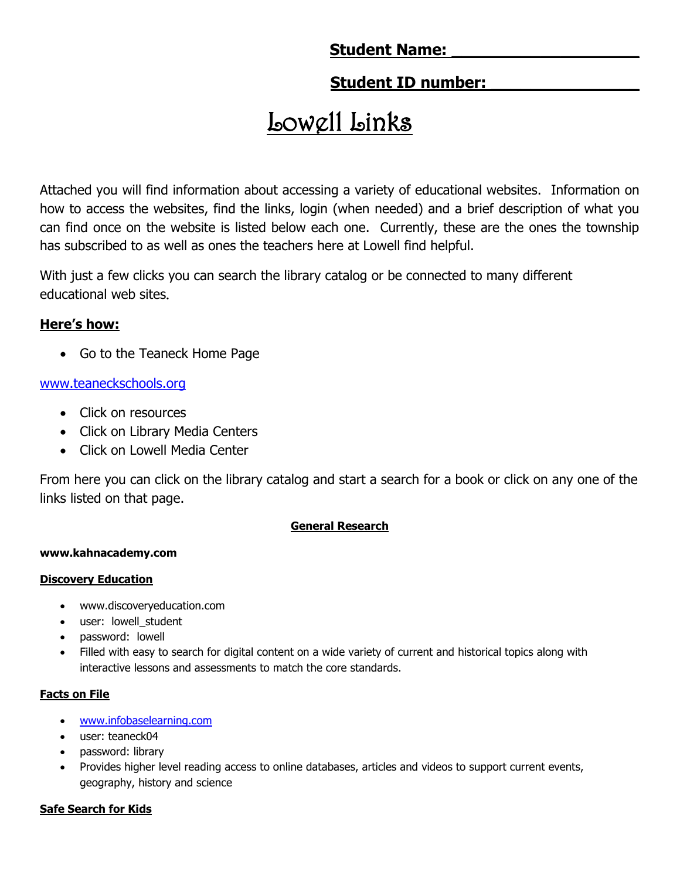# **Student Name:**

# **Student ID number:**

# Lowell Links

Attached you will find information about accessing a variety of educational websites. Information on how to access the websites, find the links, login (when needed) and a brief description of what you can find once on the website is listed below each one. Currently, these are the ones the township has subscribed to as well as ones the teachers here at Lowell find helpful.

With just a few clicks you can search the library catalog or be connected to many different educational web sites.

# **Here's how:**

• Go to the Teaneck Home Page

# [www.teaneckschools.org](http://www.teaneckschools.org/)

- Click on resources
- Click on Library Media Centers
- Click on Lowell Media Center

From here you can click on the library catalog and start a search for a book or click on any one of the links listed on that page.

# **General Research**

# **www.kahnacademy.com**

# **Discovery Education**

- www.discoveryeducation.com
- user: lowell student
- password: lowell
- Filled with easy to search for digital content on a wide variety of current and historical topics along with interactive lessons and assessments to match the core standards.

# **Facts on File**

- [www.infobaselearning.com](http://www.infobaselearning.com/)
- user: teaneck04
- password: library
- Provides higher level reading access to online databases, articles and videos to support current events, geography, history and science

# **Safe Search for Kids**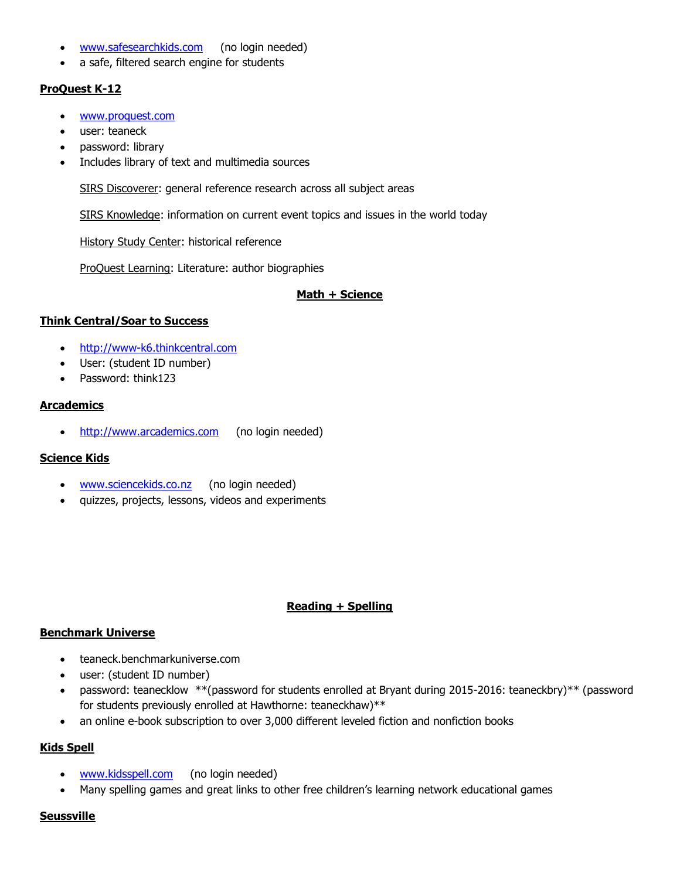- [www.safesearchkids.com](http://www.safesearchkids.com/) (no login needed)
- a safe, filtered search engine for students

#### **ProQuest K-12**

- [www.proquest.com](http://www.proquest.com/)
- user: teaneck
- password: library
- Includes library of text and multimedia sources

SIRS Discoverer: general reference research across all subject areas

SIRS Knowledge: information on current event topics and issues in the world today

History Study Center: historical reference

ProQuest Learning: Literature: author biographies

#### **Math + Science**

#### **Think Central/Soar to Success**

- [http://www-k6.thinkcentral.com](http://www-k6.thinkcentral.com/)
- User: (student ID number)
- Password: think123

#### **Arcademics**

• [http://www.arcademics.com](http://www.arcademics.com/) (no login needed)

#### **Science Kids**

- [www.sciencekids.co.nz](http://www.sciencekids.co.nz/) (no login needed)
- quizzes, projects, lessons, videos and experiments

#### **Reading + Spelling**

#### **Benchmark Universe**

- teaneck.benchmarkuniverse.com
- user: (student ID number)
- password: teanecklow \*\*(password for students enrolled at Bryant during 2015-2016: teaneckbry)\*\* (password for students previously enrolled at Hawthorne: teaneckhaw)\*\*
- an online e-book subscription to over 3,000 different leveled fiction and nonfiction books

#### **Kids Spell**

- [www.kidsspell.com](http://www.kidsspell.com/) (no login needed)
- Many spelling games and great links to other free children's learning network educational games

#### **Seussville**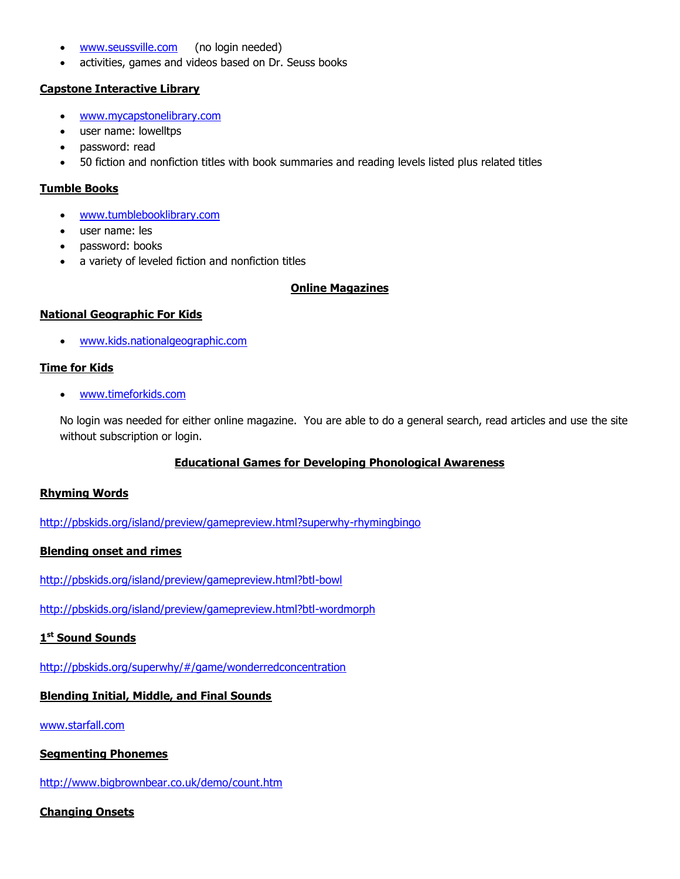- [www.seussville.com](http://www.seussville.com/) (no login needed)
- activities, games and videos based on Dr. Seuss books

#### **Capstone Interactive Library**

- [www.mycapstonelibrary.com](http://www.mycapstonelibrary.com/)
- user name: lowelltps
- password: read
- 50 fiction and nonfiction titles with book summaries and reading levels listed plus related titles

#### **Tumble Books**

- [www.tumblebooklibrary.com](http://www.tumblebooklibrary.com/)
- user name: les
- password: books
- a variety of leveled fiction and nonfiction titles

#### **Online Magazines**

#### **National Geographic For Kids**

[www.kids.nationalgeographic.com](http://www.kids.nationalgeographic.com/)

#### **Time for Kids**

[www.timeforkids.com](http://www.timeforkids.com/)

No login was needed for either online magazine. You are able to do a general search, read articles and use the site without subscription or login.

#### **Educational Games for Developing Phonological Awareness**

#### **Rhyming Words**

<http://pbskids.org/island/preview/gamepreview.html?superwhy-rhymingbingo>

#### **Blending onset and rimes**

<http://pbskids.org/island/preview/gamepreview.html?btl-bowl>

<http://pbskids.org/island/preview/gamepreview.html?btl-wordmorph>

#### **1 st Sound Sounds**

<http://pbskids.org/superwhy/#/game/wonderredconcentration>

#### **Blending Initial, Middle, and Final Sounds**

[www.starfall.com](http://www.starfall.com/)

#### **Segmenting Phonemes**

<http://www.bigbrownbear.co.uk/demo/count.htm>

#### **Changing Onsets**